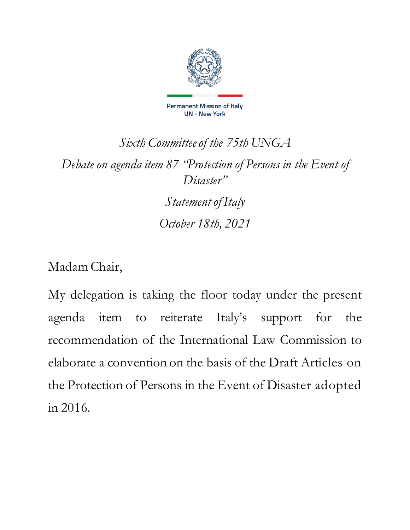

## *Sixth Committeeof the 75th UNGA Debate on agenda item 87 "Protection of Persons in the Event of Disaster"*

*Statementof Italy October 18th, 2021*

Madam Chair,

My delegation is taking the floor today under the present agenda item to reiterate Italy's support for the recommendation of the International Law Commission to elaborate a convention on the basis of the Draft Articles on the Protection of Persons in the Event of Disaster adopted in 2016.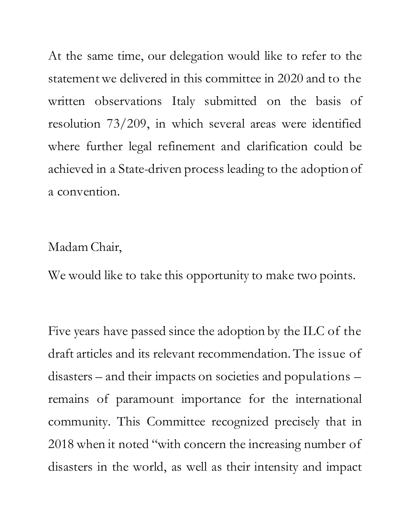At the same time, our delegation would like to refer to the statement we delivered in this committee in 2020 and to the written observations Italy submitted on the basis of resolution 73/209, in which several areas were identified where further legal refinement and clarification could be achieved in a State-driven process leading to the adoption of a convention.

## Madam Chair,

We would like to take this opportunity to make two points.

Five years have passed since the adoption by the ILC of the draft articles and its relevant recommendation.The issue of disasters – and their impacts on societies and populations – remains of paramount importance for the international community. This Committee recognized precisely that in 2018 when it noted "with concern the increasing number of disasters in the world, as well as their intensity and impact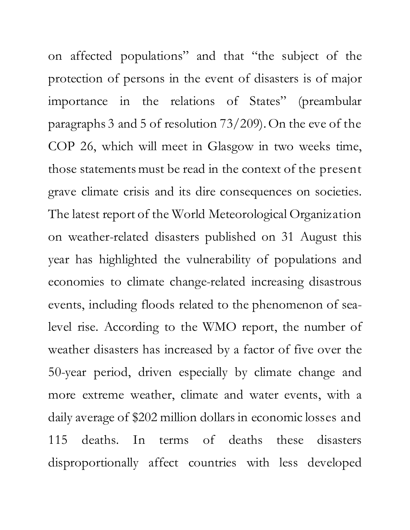on affected populations" and that "the subject of the protection of persons in the event of disasters is of major importance in the relations of States" (preambular paragraphs 3 and 5 of resolution 73/209).On the eve of the COP 26, which will meet in Glasgow in two weeks time, those statements must be read in the context of the present grave climate crisis and its dire consequences on societies. The latest report of the World Meteorological Organization on weather-related disasters published on 31 August this year has highlighted the vulnerability of populations and economies to climate change-related increasing disastrous events, including floods related to the phenomenon of sealevel rise. According to the WMO report, the number of weather disasters has increased by a factor of five over the 50-year period, driven especially by climate change and more extreme weather, climate and water events, with a daily average of \$202 million dollars in economic losses and 115 deaths. In terms of deaths these disasters disproportionally affect countries with less developed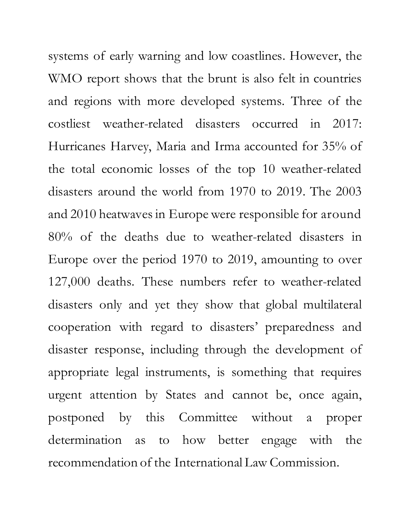systems of early warning and low coastlines. However, the WMO report shows that the brunt is also felt in countries and regions with more developed systems. Three of the costliest weather-related disasters occurred in 2017: Hurricanes Harvey, Maria and Irma accounted for 35% of the total economic losses of the top 10 weather-related disasters around the world from 1970 to 2019. The 2003 and 2010 heatwaves in Europe were responsible for around 80% of the deaths due to weather-related disasters in Europe over the period 1970 to 2019, amounting to over 127,000 deaths. These numbers refer to weather-related disasters only and yet they show that global multilateral cooperation with regard to disasters' preparedness and disaster response, including through the development of appropriate legal instruments, is something that requires urgent attention by States and cannot be, once again, postponed by this Committee without a proper determination as to how better engage with the recommendation of the International Law Commission.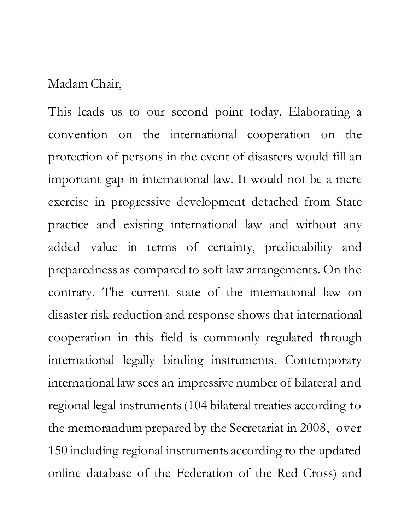## Madam Chair,

This leads us to our second point today. Elaborating a convention on the international cooperation on the protection of persons in the event of disasters would fill an important gap in international law. It would not be a mere exercise in progressive development detached from State practice and existing international law and without any added value in terms of certainty, predictability and preparedness as compared to soft law arrangements. On the contrary. The current state of the international law on disaster risk reduction and response shows that international cooperation in this field is commonly regulated through international legally binding instruments. Contemporary international law sees an impressive number of bilateral and regional legal instruments(104 bilateral treaties according to the memorandum prepared by the Secretariat in 2008, over 150 including regional instruments according to the updated online database of the Federation of the Red Cross) and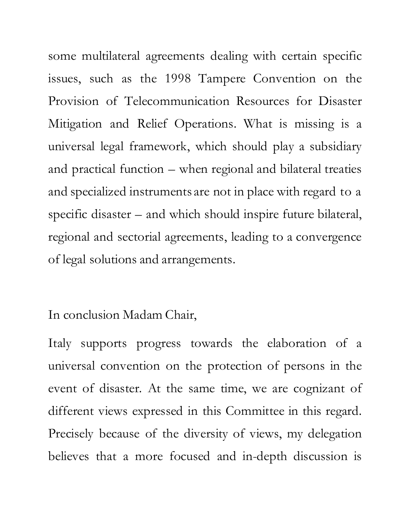some multilateral agreements dealing with certain specific issues, such as the 1998 Tampere Convention on the Provision of Telecommunication Resources for Disaster Mitigation and Relief Operations. What is missing is a universal legal framework, which should play a subsidiary and practical function – when regional and bilateral treaties and specialized instruments are not in place with regard to a specific disaster – and which should inspire future bilateral, regional and sectorial agreements, leading to a convergence of legal solutions and arrangements.

## In conclusion Madam Chair,

Italy supports progress towards the elaboration of a universal convention on the protection of persons in the event of disaster. At the same time, we are cognizant of different views expressed in this Committee in this regard. Precisely because of the diversity of views, my delegation believes that a more focused and in-depth discussion is